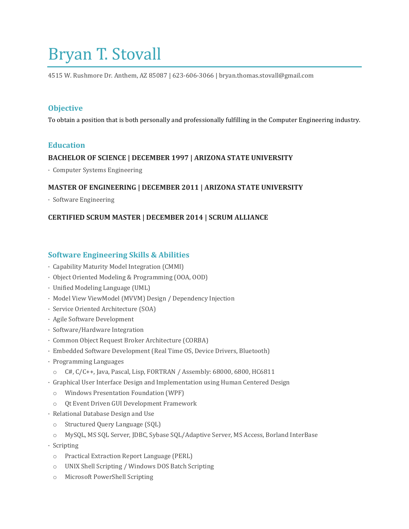# Bryan T. Stovall

4515 W. Rushmore Dr. Anthem, AZ 85087 | 623-606-3066 | bryan.thomas.stovall@gmail.com

## **Objective**

To obtain a position that is both personally and professionally fulfilling in the Computer Engineering industry.

## **Education**

## **BACHELOR OF SCIENCE | DECEMBER 1997 | ARIZONA STATE UNIVERSITY**

· Computer Systems Engineering

## **MASTER OF ENGINEERING | DECEMBER 2011 | ARIZONA STATE UNIVERSITY**

· Software Engineering

## **CERTIFIED SCRUM MASTER | DECEMBER 2014 | SCRUM ALLIANCE**

## **Software Engineering Skills & Abilities**

- · Capability Maturity Model Integration (CMMI)
- · Object Oriented Modeling & Programming (OOA, OOD)
- · Unified Modeling Language (UML)
- · Model View ViewModel (MVVM) Design / Dependency Injection
- · Service Oriented Architecture (SOA)
- · Agile Software Development
- · Software/Hardware Integration
- · Common Object Request Broker Architecture (CORBA)
- · Embedded Software Development (Real Time OS, Device Drivers, Bluetooth)
- · Programming Languages
	- o C#, C/C++, Java, Pascal, Lisp, FORTRAN / Assembly: 68000, 6800, HC6811
- · Graphical User Interface Design and Implementation using Human Centered Design
	- o Windows Presentation Foundation (WPF)
	- o Qt Event Driven GUI Development Framework
- · Relational Database Design and Use
	- o Structured Query Language (SQL)
	- o MySQL, MS SQL Server, JDBC, Sybase SQL/Adaptive Server, MS Access, Borland InterBase
- · Scripting
	- o Practical Extraction Report Language (PERL)
	- o UNIX Shell Scripting / Windows DOS Batch Scripting
	- o Microsoft PowerShell Scripting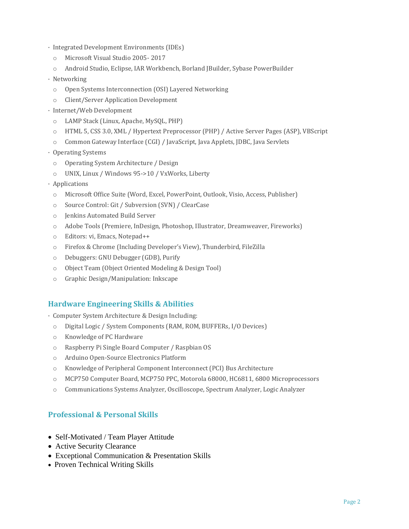- · Integrated Development Environments (IDEs)
	- o Microsoft Visual Studio 2005- 2017
	- o Android Studio, Eclipse, IAR Workbench, Borland JBuilder, Sybase PowerBuilder
- · Networking
	- o Open Systems Interconnection (OSI) Layered Networking
- o Client/Server Application Development
- · Internet/Web Development
	- o LAMP Stack (Linux, Apache, MySQL, PHP)
	- o HTML 5, CSS 3.0, XML / Hypertext Preprocessor (PHP) / Active Server Pages (ASP), VBScript
- o Common Gateway Interface (CGI) / JavaScript, Java Applets, JDBC, Java Servlets
- · Operating Systems
	- o Operating System Architecture / Design
	- o UNIX, Linux / Windows 95->10 / VxWorks, Liberty
- · Applications
	- o Microsoft Office Suite (Word, Excel, PowerPoint, Outlook, Visio, Access, Publisher)
	- o Source Control: Git / Subversion (SVN) / ClearCase
	- o Jenkins Automated Build Server
	- o Adobe Tools (Premiere, InDesign, Photoshop, Illustrator, Dreamweaver, Fireworks)
	- o Editors: vi, Emacs, Notepad++
	- o Firefox & Chrome (Including Developer's View), Thunderbird, FileZilla
	- o Debuggers: GNU Debugger (GDB), Purify
	- o Object Team (Object Oriented Modeling & Design Tool)
	- o Graphic Design/Manipulation: Inkscape

## **Hardware Engineering Skills & Abilities**

- · Computer System Architecture & Design Including:
	- o Digital Logic / System Components (RAM, ROM, BUFFERs, I/O Devices)
	- o Knowledge of PC Hardware
	- o Raspberry Pi Single Board Computer / Raspbian OS
	- o Arduino Open-Source Electronics Platform
	- o Knowledge of Peripheral Component Interconnect (PCI) Bus Architecture
	- o MCP750 Computer Board, MCP750 PPC, Motorola 68000, HC6811, 6800 Microprocessors
	- o Communications Systems Analyzer, Oscilloscope, Spectrum Analyzer, Logic Analyzer

## **Professional & Personal Skills**

- Self-Motivated / Team Player Attitude
- Active Security Clearance
- Exceptional Communication & Presentation Skills
- Proven Technical Writing Skills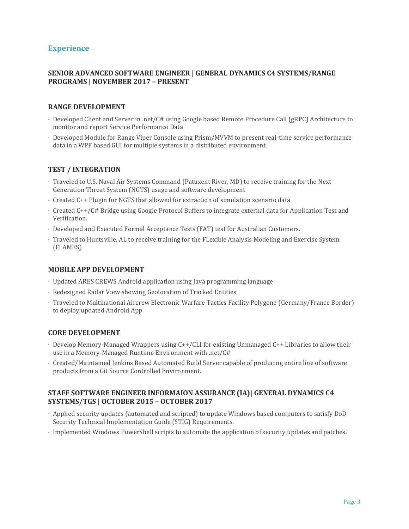# **Experience**

## **SENIOR ADVANCED SOFTWARE ENGINEER | GENERAL DYNAMICS C4 SYSTEMS/RANGE PROGRAMS | NOVEMBER 2017 – PRESENT**

#### **RANGE DEVELOPMENT**

- · Developed Client and Server in .net/C# using Google based Remote Procedure Call (gRPC) Architecture to monitor and report Service Performance Data
- · Developed Module for Range Viper Console using Prism/MVVM to present real-time service performance data in a WPF based GUI for multiple systems in a distributed environment.

#### **TEST / INTEGRATION**

- · Traveled to U.S. Naval Air Systems Command (Patuxent River, MD) to receive training for the Next Generation Threat System (NGTS) usage and software development
- · Created C++ Plugin for NGTS that allowed for extraction of simulation scenario data
- · Created C++/C# Bridge using Google Protocol Buffers to integrate external data for Application Test and Verification.
- · Developed and Executed Formal Acceptance Tests (FAT) test for Australian Customers.
- · Traveled to Huntsville, AL to receive training for the FLexible Analysis Modeling and Exercise System (FLAMES)

#### **MOBILE APP DEVELOPMENT**

- · Updated ARES CREWS Android application using Java programming language
- · Redesigned Radar View showing Geolocation of Tracked Entities
- · Traveled to Multinational Aircrew Electronic Warfare Tactics Facility Polygone (Germany/France Border) to deploy updated Android App

#### **CORE DEVELOPMENT**

- · Develop Memory-Managed Wrappers using C++/CLI for existing Unmanaged C++ Libraries to allow their use in a Memory-Managed Runtime Environment with .net/C#
- · Created/Maintained Jenkins Based Automated Build Server capable of producing entire line of software products from a Git Source Controlled Environment.

#### **STAFF SOFTWARE ENGINEER INFORMAION ASSURANCE (IA)| GENERAL DYNAMICS C4 SYSTEMS/TGS | OCTOBER 2015 – OCTOBER 2017**

- · Applied security updates (automated and scripted) to update Windows based computers to satisfy DoD Security Technical Implementation Guide (STIG) Requirements.
- · Implemented Windows PowerShell scripts to automate the application of security updates and patches.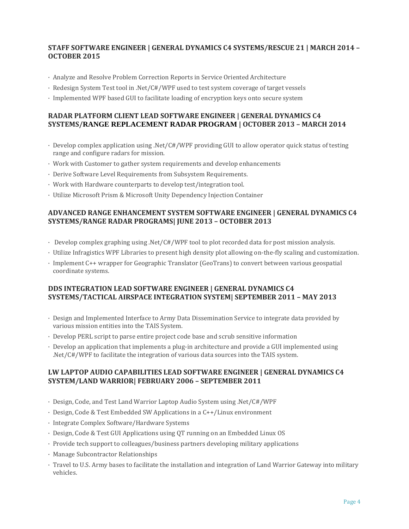## **STAFF SOFTWARE ENGINEER | GENERAL DYNAMICS C4 SYSTEMS/RESCUE 21 | MARCH 2014 – OCTOBER 2015**

- · Analyze and Resolve Problem Correction Reports in Service Oriented Architecture
- · Redesign System Test tool in .Net/C#/WPF used to test system coverage of target vessels
- · Implemented WPF based GUI to facilitate loading of encryption keys onto secure system

## **RADAR PLATFORM CLIENT LEAD SOFTWARE ENGINEER | GENERAL DYNAMICS C4 SYSTEMS/RANGE REPLACEMENT RADAR PROGRAM | OCTOBER 2013 – MARCH 2014**

- · Develop complex application using .Net/C#/WPF providing GUI to allow operator quick status of testing range and configure radars for mission.
- · Work with Customer to gather system requirements and develop enhancements
- · Derive Software Level Requirements from Subsystem Requirements.
- · Work with Hardware counterparts to develop test/integration tool.
- · Utilize Microsoft Prism & Microsoft Unity Dependency Injection Container

## **ADVANCED RANGE ENHANCEMENT SYSTEM SOFTWARE ENGINEER | GENERAL DYNAMICS C4 SYSTEMS/RANGE RADAR PROGRAMS| JUNE 2013 – OCTOBER 2013**

- · Develop complex graphing using .Net/C#/WPF tool to plot recorded data for post mission analysis.
- · Utilize Infragistics WPF Libraries to present high density plot allowing on-the-fly scaling and customization.
- · Implement C++ wrapper for Geographic Translator (GeoTrans) to convert between various geospatial coordinate systems.

## **DDS INTEGRATION LEAD SOFTWARE ENGINEER | GENERAL DYNAMICS C4 SYSTEMS/TACTICAL AIRSPACE INTEGRATION SYSTEM| SEPTEMBER 2011 – MAY 2013**

- · Design and Implemented Interface to Army Data Dissemination Service to integrate data provided by various mission entities into the TAIS System.
- · Develop PERL script to parse entire project code base and scrub sensitive information
- · Develop an application that implements a plug-in architecture and provide a GUI implemented using .Net/C#/WPF to facilitate the integration of various data sources into the TAIS system.

## **LW LAPTOP AUDIO CAPABILITIES LEAD SOFTWARE ENGINEER | GENERAL DYNAMICS C4 SYSTEM/LAND WARRIOR| FEBRUARY 2006 – SEPTEMBER 2011**

- · Design, Code, and Test Land Warrior Laptop Audio System using .Net/C#/WPF
- · Design, Code & Test Embedded SW Applications in a C++/Linux environment
- · Integrate Complex Software/Hardware Systems
- · Design, Code & Test GUI Applications using QT running on an Embedded Linux OS
- · Provide tech support to colleagues/business partners developing military applications
- · Manage Subcontractor Relationships
- · Travel to U.S. Army bases to facilitate the installation and integration of Land Warrior Gateway into military vehicles.